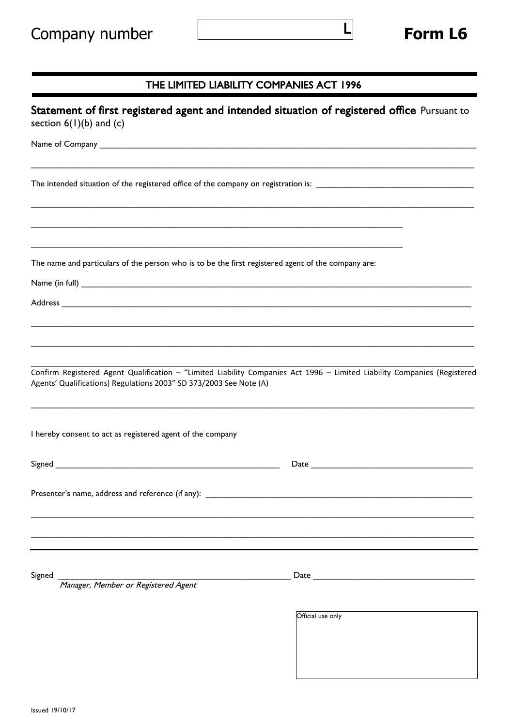L

## THE LIMITED LIABILITY COMPANIES ACT 1996

| Statement of first registered agent and intended situation of registered office Pursuant to<br>section $6(1)(b)$ and $(c)$                                                                                                          |                   |
|-------------------------------------------------------------------------------------------------------------------------------------------------------------------------------------------------------------------------------------|-------------------|
| Name of Company <b>Name of Company</b> and the contract of the contract of the contract of the contract of the contract of the contract of the contract of the contract of the contract of the contract of the contract of the cont |                   |
|                                                                                                                                                                                                                                     |                   |
|                                                                                                                                                                                                                                     |                   |
| The name and particulars of the person who is to be the first registered agent of the company are:                                                                                                                                  |                   |
|                                                                                                                                                                                                                                     |                   |
|                                                                                                                                                                                                                                     |                   |
|                                                                                                                                                                                                                                     |                   |
| Confirm Registered Agent Qualification - "Limited Liability Companies Act 1996 - Limited Liability Companies (Registered<br>Agents' Qualifications) Regulations 2003" SD 373/2003 See Note (A)                                      |                   |
| I hereby consent to act as registered agent of the company                                                                                                                                                                          |                   |
|                                                                                                                                                                                                                                     |                   |
| Presenter's name, address and reference (if any):                                                                                                                                                                                   |                   |
|                                                                                                                                                                                                                                     |                   |
| Signed<br>Manager, Member or Registered Agent                                                                                                                                                                                       |                   |
|                                                                                                                                                                                                                                     | Official use only |
|                                                                                                                                                                                                                                     |                   |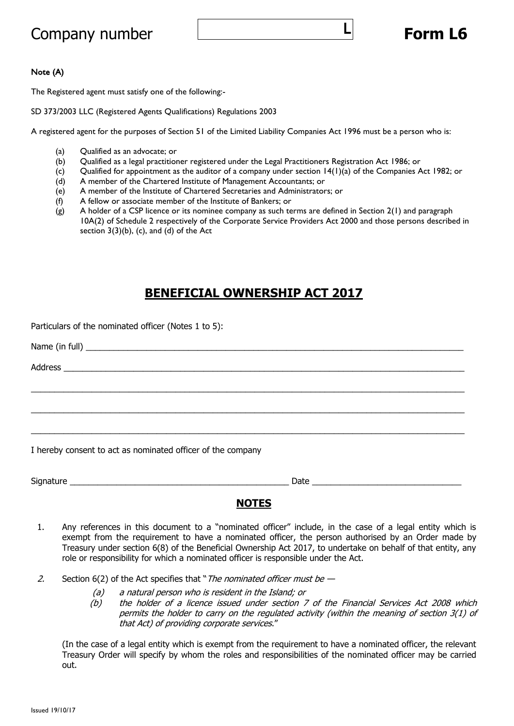# Company number **Form L6**

L

### Note (A)

The Registered agent must satisfy one of the following:-

SD 373/2003 LLC (Registered Agents Qualifications) Regulations 2003

A registered agent for the purposes of Section 51 of the Limited Liability Companies Act 1996 must be a person who is:

- (a) Qualified as an advocate; or
- (b) Qualified as a legal practitioner registered under the Legal Practitioners Registration Act 1986; or
- (c) Qualified for appointment as the auditor of a company under section 14(1)(a) of the Companies Act 1982; or
- (d) A member of the Chartered Institute of Management Accountants; or
- (e) A member of the Institute of Chartered Secretaries and Administrators; or
- (f) A fellow or associate member of the Institute of Bankers; or
- (g) A holder of a CSP licence or its nominee company as such terms are defined in Section 2(1) and paragraph 10A(2) of Schedule 2 respectively of the Corporate Service Providers Act 2000 and those persons described in section  $3(3)(b)$ , (c), and (d) of the Act

## **BENEFICIAL OWNERSHIP ACT 2017**

 $\_$  , and the set of the set of the set of the set of the set of the set of the set of the set of the set of the set of the set of the set of the set of the set of the set of the set of the set of the set of the set of th

 $\_$  , and the set of the set of the set of the set of the set of the set of the set of the set of the set of the set of the set of the set of the set of the set of the set of the set of the set of the set of the set of th

 $\_$  , and the set of the set of the set of the set of the set of the set of the set of the set of the set of the set of the set of the set of the set of the set of the set of the set of the set of the set of the set of th

Particulars of the nominated officer (Notes 1 to 5):

Name (in full)  $\blacksquare$ 

Address \_\_\_\_\_\_\_\_\_\_\_\_\_\_\_\_\_\_\_\_\_\_\_\_\_\_\_\_\_\_\_\_\_\_\_\_\_\_\_\_\_\_\_\_\_\_\_\_\_\_\_\_\_\_\_\_\_\_\_\_\_\_\_\_\_\_\_\_\_\_\_\_\_\_\_\_\_\_\_\_\_\_\_\_\_\_

I hereby consent to act as nominated officer of the company

Signature **Example 20** and the set of the set of the set of the set of the set of the set of the set of the set of the set of the set of the set of the set of the set of the set of the set of the set of the set of the set

### **NOTES**

- 1. Any references in this document to a "nominated officer" include, in the case of a legal entity which is exempt from the requirement to have a nominated officer, the person authorised by an Order made by Treasury under section 6(8) of the Beneficial Ownership Act 2017, to undertake on behalf of that entity, any role or responsibility for which a nominated officer is responsible under the Act.
- 2. Section  $6(2)$  of the Act specifies that "*The nominated officer must be -*
	-
	- (a) a natural person who is resident in the Island; or<br>(b) the holder of a licence issued under section 7 the holder of a licence issued under section 7 of the Financial Services Act 2008 which permits the holder to carry on the regulated activity (within the meaning of section 3(1) of that Act) of providing corporate services."

(In the case of a legal entity which is exempt from the requirement to have a nominated officer, the relevant Treasury Order will specify by whom the roles and responsibilities of the nominated officer may be carried out.